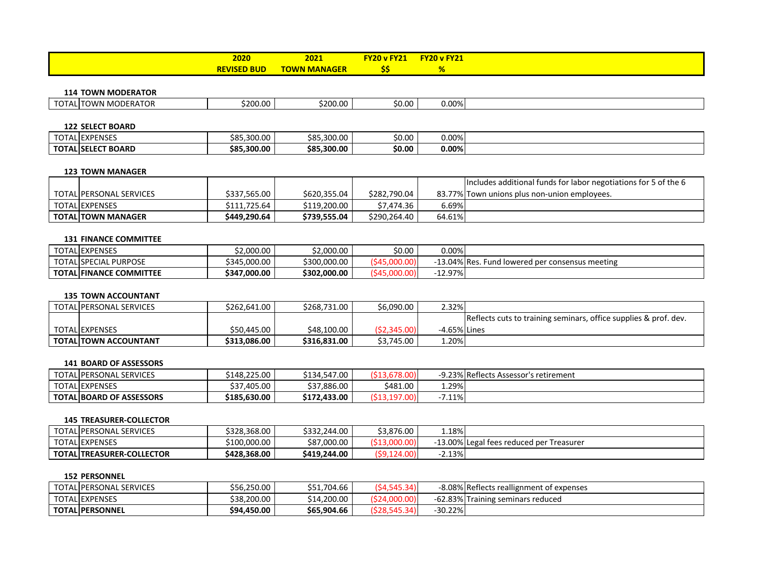| 2020               | 2021                | <b>FY20 v FY21</b> | <b>FY20 v FY21</b> |
|--------------------|---------------------|--------------------|--------------------|
| <b>REVISED BUD</b> | <b>TOWN MANAGER</b> |                    |                    |

#### **114 TOWN MODERATOR**

| <b>TOTAL</b> | <b>MODERATOR</b><br>.<br>ำwn | <sup>-</sup> 200.00 | \$200.00 | \$0.00 | 0.00% |  |
|--------------|------------------------------|---------------------|----------|--------|-------|--|
|              |                              |                     |          |        |       |  |

### **122 SELECT BOARD**

| <b>TOTAL EXPENSES</b> | \$85,300.00 | \$85,300.00 | \$0.00 | 0.00% |  |
|-----------------------|-------------|-------------|--------|-------|--|
| TOTAL SELECT BOARD    | \$85,300,00 | \$85,300.00 | \$0.00 | 0.00% |  |

### **123 TOWN MANAGER**

|                           |              |              |              |        | Includes additional funds for labor negotiations for 5 of the 6 |
|---------------------------|--------------|--------------|--------------|--------|-----------------------------------------------------------------|
| TOTALIPERSONAL SERVICES   | \$337,565.00 | \$620,355.04 | \$282,790.04 |        | 83.77% Town unions plus non-union employees.                    |
| <b>TOTAL EXPENSES</b>     | \$111.725.64 | \$119,200.00 | \$7.474.36   | 6.69%  |                                                                 |
| <b>TOTAL TOWN MANAGER</b> | \$449.290.64 | \$739,555.04 | \$290,264.40 | 64.61% |                                                                 |

# **131 FINANCE COMMITTEE**

| TOTALIEXPENSES                 | \$2,000.00   | \$2,000.00   | \$0.00       | 0.00%     |                                                 |
|--------------------------------|--------------|--------------|--------------|-----------|-------------------------------------------------|
| TOTAL SPECIAL PURPOSE          | \$345.000.00 | \$300,000.00 | (545,000.00) |           | -13.04% Res. Fund lowered per consensus meeting |
| <b>TOTAL FINANCE COMMITTEE</b> | \$347,000.00 | \$302,000.00 | (545.000.00) | $-12.97%$ |                                                 |

### **135 TOWN ACCOUNTANT**

| L TOTAL PERSONAL SERVICES    | \$262.641.00 | \$268,731.00 | \$6,090.00  | 2.32%        |                                                                  |
|------------------------------|--------------|--------------|-------------|--------------|------------------------------------------------------------------|
|                              |              |              |             |              | Reflects cuts to training seminars, office supplies & prof. dev. |
| <b>TOTAL EXPENSES</b>        | \$50,445.00  | \$48,100.00  | (S2.345.00) | -4.65% Lines |                                                                  |
| <b>TOTAL TOWN ACCOUNTANT</b> | \$313,086.00 | \$316.831.00 | \$3,745.00  | 1.20%        |                                                                  |

#### **141 BOARD OF ASSESSORS**

| TOTAL PERSONAL SERVICES  | \$148.225.00 | \$134,547.00 | $\sim$<br>ረ4 ገ<br>$\sim$ $\sim$<br><u>1913,078.001 (</u> |               | -9.23% Reflects Assessor's retirement |
|--------------------------|--------------|--------------|----------------------------------------------------------|---------------|---------------------------------------|
| <b>TOTALIEXPENSES</b>    | \$37,405.00  | \$37,886.00  | \$481.00                                                 | 1.29%         |                                       |
| TOTAL BOARD OF ASSESSORS | \$185,630.00 | \$172,433.00 | בדיכדכ                                                   | 7.11%<br>$ -$ |                                       |

## **145 TREASURER-COLLECTOR**

| TOTAL PERSONAL SERVICES   | \$328,368,00 | \$332,244.00 | \$3,876.00   | 1.18%    |                                          |
|---------------------------|--------------|--------------|--------------|----------|------------------------------------------|
| <b>TOTAL EXPENSES</b>     | \$100,000.00 | \$87,000.00  | (513,000.00) |          | -13.00% Legal fees reduced per Treasurer |
| TOTAL TREASURER-COLLECTOR | \$428,368.00 | \$419,244.00 | (\$9,124.00) | $-2.13%$ |                                          |

### **152 PERSONNEL**

| TOTAL PERSONAL SERVICES | \$56,250.00 | \$51,704.66 | (\$4.545.34)  | -8.08% Reflects reallignment of expenses |
|-------------------------|-------------|-------------|---------------|------------------------------------------|
| <b>TOTAL EXPENSES</b>   | \$38,200.00 | \$14,200.00 | (524,000.00)  | -62.83%l*<br>Training seminars reduced   |
| <b>TOTAL PERSONNEL</b>  | \$94,450.00 | \$65,904.66 | (\$28.545.34) | $-30.22%$                                |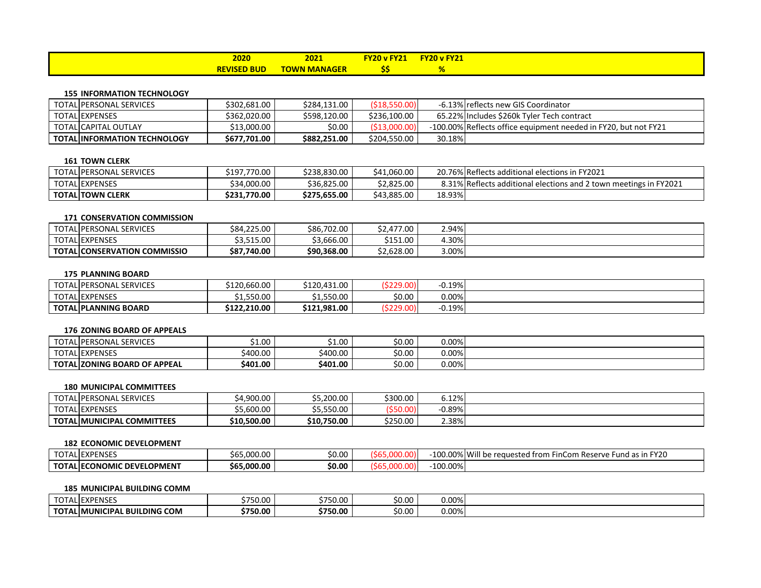| 2020<br>$\mathcal{L}^{\text{max}}_{\text{max}}$ and $\mathcal{L}^{\text{max}}_{\text{max}}$ and $\mathcal{L}^{\text{max}}_{\text{max}}$ | 2021                | <b>FY20 v FY21</b> | <b>FY20 v FY21</b> |
|-----------------------------------------------------------------------------------------------------------------------------------------|---------------------|--------------------|--------------------|
| REVISED BUD                                                                                                                             | <b>TOWN MANAGER</b> |                    | .                  |

### **155 INFORMATION TECHNOLOGY**

| TOTALIPERSONAL SERVICES             | \$302,681,00 | \$284,131.00 | (S18.550.00)  |        | -6.13% reflects new GIS Coordinator                             |
|-------------------------------------|--------------|--------------|---------------|--------|-----------------------------------------------------------------|
| TOTALIEXPENSES                      | \$362,020,00 | \$598,120.00 | \$236,100.00  |        | 65.22% Includes \$260k Tyler Tech contract                      |
| TOTAL CAPITAL OUTLAY                | \$13.000.00  | \$0.00       | (\$13,000.00) |        | -100.00% Reflects office equipment needed in FY20, but not FY21 |
| <b>TOTAL INFORMATION TECHNOLOGY</b> | \$677.701.00 | \$882.251.00 | \$204,550,00  | 30.18% |                                                                 |

## **161 TOWN CLERK**

| TOTAL PERSONAL SERVICES | \$197,770.00 | \$238,830.00 | \$41,060.00 |        | 20.76% Reflects additional elections in FY2021                    |
|-------------------------|--------------|--------------|-------------|--------|-------------------------------------------------------------------|
| <b>TOTAL EXPENSES</b>   | \$34,000.00  | \$36,825.00  | \$2,825.00  |        | 8.31% Reflects additional elections and 2 town meetings in FY2021 |
| <b>TOTAL TOWN CLERK</b> | \$231.770.00 | \$275.655.00 | \$43,885,00 | 18.93% |                                                                   |

#### **171 CONSERVATION COMMISSION**

| TOTAL PERSONAL.<br>. SERVICES       | \$84.225.00 | \$86,702.00 | \$2,477.00 | 2.94% |  |
|-------------------------------------|-------------|-------------|------------|-------|--|
| <b>TOTAL EXPENSES</b>               | \$3.515.00  | \$3,666.00  | \$151.00   | 4.30% |  |
| <b>TOTAL CONSERVATION COMMISSIO</b> | \$87,740.00 | \$90,368.00 | \$2,628.00 | 3.00% |  |

#### **175 PLANNING BOARD**

| TOTAL PERSONAL SERVICES     | \$120.660.00 | \$120,431.00 | (5229.00) | $-0.19%$ |  |
|-----------------------------|--------------|--------------|-----------|----------|--|
| <b>TOTAL EXPENSES</b>       | \$1,550.00   | \$1,550.00   | \$0.00    | 0.00%    |  |
| <b>TOTAL PLANNING BOARD</b> | \$122,210.00 | \$121,981,00 | (5229.00) | $-0.19%$ |  |

## **176 ZONING BOARD OF APPEALS**

| TOTAL PERSONAL SERVICES      | \$1.00   | \$1.00   | \$0.00 | 0.00% |  |
|------------------------------|----------|----------|--------|-------|--|
| TOTALIEXPENSES               | \$400.00 | \$400.00 | \$0.00 | 0.00% |  |
| TOTAL ZONING BOARD OF APPEAL | \$401.00 | \$401.00 | \$0.00 | 0.00% |  |

## **180 MUNICIPAL COMMITTEES**

| $T$ $T$ $T$ $T$<br>TOTAL PERSONAL SERVICES | \$4,900.00  | \$5,200.00  | \$300.00 | 6.12% |  |
|--------------------------------------------|-------------|-------------|----------|-------|--|
| <b>TOTALIEXPENSES</b>                      | \$5,600.00  | \$5,550.00  | 50.00)   | 0.89% |  |
| <b>TOTAL MUNICIPAL COMMITTEES</b>          | \$10,500.00 | \$10,750.00 | \$250.00 | 2.38% |  |

## **182 ECONOMIC DEVELOPMENT**

| <b>TOTAL</b><br>ALIEXPENSES            | \$65,000.00 | \$0.00 | Sh.<br>u.uur | $-100.00\%$ W<br><b>FY20</b><br><br>od from FinCom Reserve ،<br>-und as in F'<br>! be requested ነ |
|----------------------------------------|-------------|--------|--------------|---------------------------------------------------------------------------------------------------|
| <b>TOTAL ECONOMIC</b><br>C DEVELOPMENT | \$65,000.00 | \$0.00 | 5h.          | 100.00%                                                                                           |

#### **185 MUNICIPAL BUILDING COMM**

|              | <b>TOTAL EXPENSES</b>                 | \$750.00 | \$750.00 | \$0.00 | 0.00%    |  |
|--------------|---------------------------------------|----------|----------|--------|----------|--|
| TOT,<br>11 I | . BUILDING COM<br><b>IMUNICIPAL I</b> | \$750.00 | \$750.00 | \$0.00 | $0.00\%$ |  |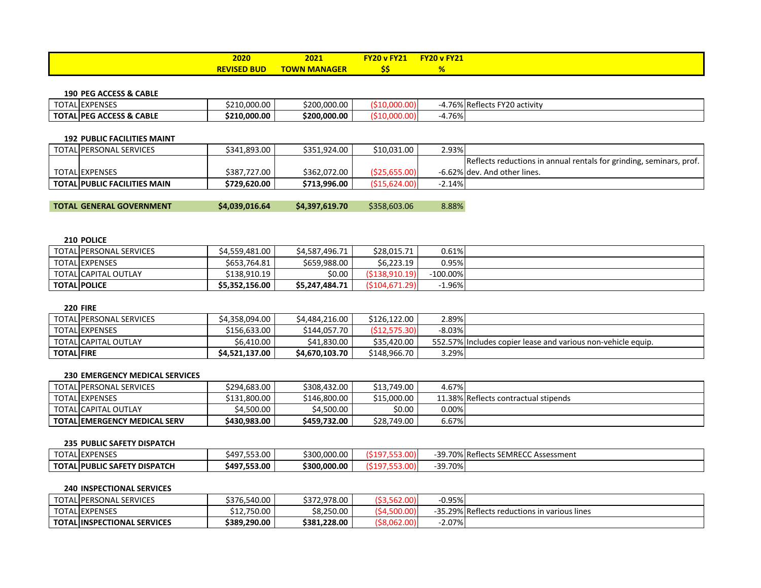| 2020               | 2021                | <b>FY20 v FY21</b> | <b>FY20 v FY21</b> |
|--------------------|---------------------|--------------------|--------------------|
| <b>REVISED BUD</b> | <b>TOWN MANAGER</b> |                    |                    |

## **190 PEG ACCESS & CABLE**

| <b>TOTAL EXPENSES</b>               | \$210,000,00 | \$200,000.00 | $\sim$ 0.000 $\sim$<br>'\$10.                    | 4.76% Reflects I<br>FY20 activity |  |
|-------------------------------------|--------------|--------------|--------------------------------------------------|-----------------------------------|--|
| <b>TOTAL PEG ACCESS &amp; CABLE</b> | \$210,000.00 | \$200,000.00 | $\sim$ $\sim$ $\sim$<br>1410.000<br>(510.000.00) | 4.76%                             |  |

## **192 PUBLIC FACILITIES MAINT**

| TOTAL PERSONAL SERVICES             | \$341,893,00 | \$351.924.00 | \$10.031.00  | 2.93%    |                                                                     |
|-------------------------------------|--------------|--------------|--------------|----------|---------------------------------------------------------------------|
|                                     |              |              |              |          | Reflects reductions in annual rentals for grinding, seminars, prof. |
| <b>TOTALIEXPENSES</b>               | \$387.727.00 | \$362,072.00 | (S25.655.00) |          | -6.62% dev. And other lines.                                        |
| <b>TOTAL PUBLIC FACILITIES MAIN</b> | \$729.620.00 | \$713,996.00 | (S15.624.00) | $-2.14%$ |                                                                     |

| <b>TOTAL GENERAL GOVERNMENT</b> | \$4,039,016.64 | \$4,397,619.70 | \$358,603.06 | 8.88% |
|---------------------------------|----------------|----------------|--------------|-------|
|---------------------------------|----------------|----------------|--------------|-------|

## **210 POLICE**

| TOTAL PERSONAL SERVICES | \$4,559,481.00 | \$4,587,496.71 | \$28,015.71    | 0.61%       |  |
|-------------------------|----------------|----------------|----------------|-------------|--|
| <b>TOTALIEXPENSES</b>   | \$653.764.81   | \$659,988.00   | \$6.223.19     | 0.95%       |  |
| TOTAL CAPITAL OUTLAY    | \$138.910.19   | \$0.00         | (5138.910.19)  | $-100.00\%$ |  |
| <b>TOTAL POLICE</b>     | \$5,352,156.00 | \$5,247,484.71 | (S104, 671.29) | $1.96\%$    |  |

## **220 FIRE**

| TOTAL PERSONAL SERVICES | \$4.358.094.00 | \$4,484,216.00 | \$126,122.00 | 2.89%   |                                                              |
|-------------------------|----------------|----------------|--------------|---------|--------------------------------------------------------------|
| <b>TOTAL EXPENSES</b>   | \$156,633,00   | \$144,057.70   | (S12.575.30) | -8.03%l |                                                              |
| TOTAL CAPITAL OUTLAY    | \$6,410.00     | \$41,830,00    | \$35,420.00  |         | 552.57% Includes copier lease and various non-vehicle equip. |
| <b>TOTAL FIRE</b>       | \$4,521,137.00 | \$4,670,103.70 | \$148,966.70 | 3.29%   |                                                              |

#### **230 EMERGENCY MEDICAL SERVICES**

| TOTAL PERSONAL SERVICES      | \$294.683.00  | \$308,432.00 | \$13,749.00 | 4.67%    |                                      |
|------------------------------|---------------|--------------|-------------|----------|--------------------------------------|
| <b>TOTAL EXPENSES</b>        | S131.800.00 l | \$146,800.00 | \$15,000.00 |          | 11.38% Reflects contractual stipends |
| TOTAL CAPITAL OUTLAY         | \$4,500.00    | \$4,500.00   | \$0.00      | $0.00\%$ |                                      |
| TOTAL EMERGENCY MEDICAL SERV | \$430,983.00  | \$459.732.00 | \$28,749.00 | 6.67%    |                                      |

## **235 PUBLIC SAFETY DISPATCH**

| TOTALIEXPENSES               | \$497.553.00 | \$300.000.00 | 3.00)<br>'5197.55. | -39.70% Reflects SEMRECC Assessment |  |
|------------------------------|--------------|--------------|--------------------|-------------------------------------|--|
| TOTAL PUBLIC SAFETY DISPATCH | \$497.553.00 | \$300,000,00 | 3.001<br>'5197.55. | $-39.70%$                           |  |

#### **240 INSPECTIONAL SERVICES**

| TOTAL PERSONAL SERVICES            | \$376,540.00 | \$372,978.00 | 3,562.00).  | 0.95%    |                                              |
|------------------------------------|--------------|--------------|-------------|----------|----------------------------------------------|
| <b>TOTAL EXPENSES</b>              | \$12,750.00  | \$8,250.00   | (54.500.00) |          | -35.29% Reflects reductions in various lines |
| <b>TOTAL INSPECTIONAL SERVICES</b> | \$389,290,00 | \$381,228.00 | (58.062.00) | $-2.07%$ |                                              |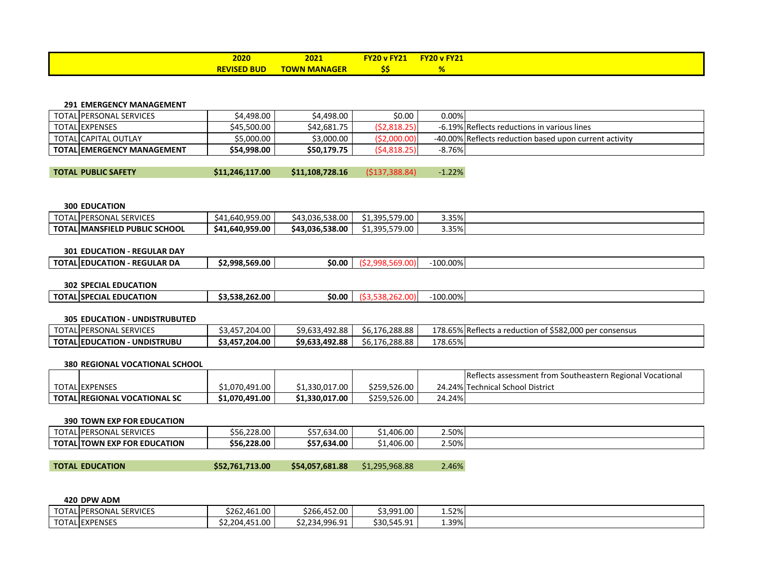| 2021<br>2020                              | <b>FY20 v FY21</b> | <b>FY20 v FY21</b> |
|-------------------------------------------|--------------------|--------------------|
| <b>TOWN MANAGER</b><br><b>REVISED BUD</b> |                    |                    |

#### **291 EMERGENCY MANAGEMENT**

| TOTAL PERSONAL SERVICES    | \$4.498.00  | \$4,498.00  | \$0.00      | $0.00\%$ |                                                        |
|----------------------------|-------------|-------------|-------------|----------|--------------------------------------------------------|
| <b>TOTALIEXPENSES</b>      | \$45.500.00 | \$42,681.75 | (S2.818.25) |          | -6.19% Reflects reductions in various lines            |
| TOTAL CAPITAL OUTLAY       | \$5,000.00  | \$3,000.00  | (52,000.00) |          | -40.00% Reflects reduction based upon current activity |
| TOTAL EMERGENCY MANAGEMENT | \$54,998.00 | \$50,179.75 | (54.818.25) | $-8.76%$ |                                                        |

| <b>TOTAL PUBLIC SAFETY</b> | \$11,246,117.00 | \$11,108,728.16 | (5137,388.84) | $-1.22%$ |
|----------------------------|-----------------|-----------------|---------------|----------|
|----------------------------|-----------------|-----------------|---------------|----------|

#### **300 EDUCATION**

| TOTAL PERSONAL SERVICES       | 41.640.959.00<br>54. | \$43,036,538,00 | \$1 395 579 00<br>ຸ່ນ⊥,ວວບ,ບາວ.ບ∪ | 3.35% |  |
|-------------------------------|----------------------|-----------------|-----------------------------------|-------|--|
| TOTAL MANSFIELD PUBLIC SCHOOL | \$41.640.959.00      | \$43,036,538,00 | \$1,395,579.00                    | 3.35% |  |

## **301 EDUCATION - REGULAR DAY**

| .998.569.00<br>- REGULAR DA<br>\$0.00<br>וחד<br>EDUCA.<br>. ION<br>$\cdots$<br>. . | 100.00% |
|------------------------------------------------------------------------------------|---------|
|------------------------------------------------------------------------------------|---------|

## **302 SPECIAL EDUCATION**

|--|

## **305 EDUCATION - UNDISTRUBUTED**

| TOTAL PERSONAL SERVICES      | \$3,457,204.00 | \$9,633,492.88 | \$6.176.288.88 |         | 178.65% Reflects a reduction of \$582,000 per consensus |
|------------------------------|----------------|----------------|----------------|---------|---------------------------------------------------------|
| TOTAL EDUCATION - UNDISTRUBU | \$3,457,204.00 | \$9,633,492.88 | \$6,176,288.88 | 178.65% |                                                         |

#### **380 REGIONAL VOCATIONAL SCHOOL**

|                              |                |                |              |        | Reflects assessment from Southeastern Regional Vocational |
|------------------------------|----------------|----------------|--------------|--------|-----------------------------------------------------------|
| l TOTALlEXPENSES             | \$1,070,491.00 | \$1,330,017,00 | \$259.526.00 |        | 24.24% Technical School District                          |
| TOTAL REGIONAL VOCATIONAL SC | \$1,070,491.00 | \$1,330,017.00 | \$259.526.00 | 24.24% |                                                           |

#### **390 TOWN EXP FOR EDUCATION**

| TOTAL PERSONAL SERVICES             | \$56.228.00 | \$57.634.00<br><b>JJ</b> | \$1,406.00    | 2.50% |  |
|-------------------------------------|-------------|--------------------------|---------------|-------|--|
| <b>TOTAL TOWN EXP FOR EDUCATION</b> | \$56,228.00 | \$57.634.00              | ,406.00<br>-- | 2.50% |  |

| <b>TOTAL EDUCATION</b> | \$52,761,713.00 | \$54,057,681.88 \$1,295,968.88 |  | 2.46% |
|------------------------|-----------------|--------------------------------|--|-------|
|------------------------|-----------------|--------------------------------|--|-------|

## **420 DPW ADM**

| <b>AL SERVICES</b><br><b>UTAL PERSONAL</b> | \$262.461.00   | \$266.452.00   | \$3,991.00  | 1.52% |  |
|--------------------------------------------|----------------|----------------|-------------|-------|--|
| <b>TOTAL EXPENSES</b>                      | \$2,204,451.00 | \$2,234,996.91 | \$30,545.91 | 1.39% |  |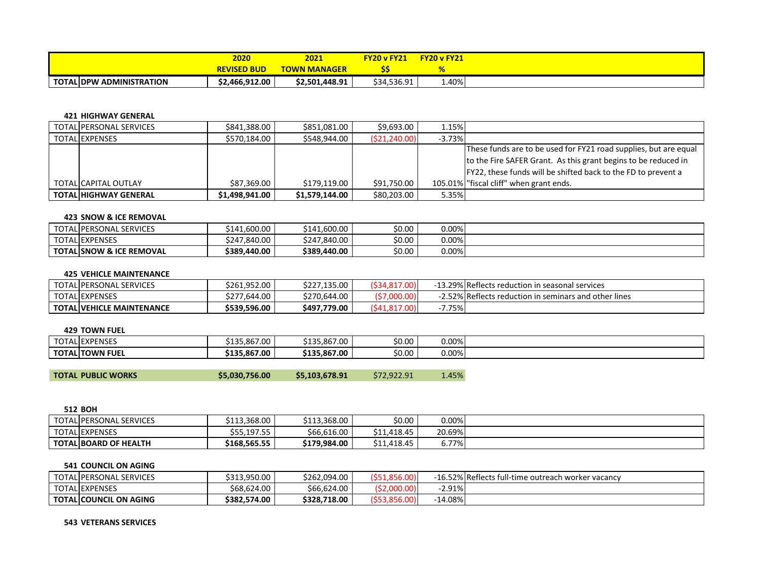|                                 | 2020               | 2021                | <b>FY20 v FY21</b> | <b>FY20 v FY21</b> |
|---------------------------------|--------------------|---------------------|--------------------|--------------------|
|                                 | <b>REVISED BUD</b> | <b>TOWN MANAGER</b> |                    |                    |
| <b>TOTAL DPW ADMINISTRATION</b> | \$2,466,912.00     | \$2,501,448.91      | \$34,536.91        | 1.40%              |

#### **421 HIGHWAY GENERAL**

| TOTAL PERSONAL SERVICES      | \$841,388.00   | \$851,081.00   | \$9,693.00    | 1.15%    |                                                                                                                                                                                                            |
|------------------------------|----------------|----------------|---------------|----------|------------------------------------------------------------------------------------------------------------------------------------------------------------------------------------------------------------|
| <b>TOTAL EXPENSES</b>        | \$570,184.00   | \$548,944.00   | (S21, 240.00) | $-3.73%$ |                                                                                                                                                                                                            |
|                              |                |                |               |          | These funds are to be used for FY21 road supplies, but are equal<br>to the Fire SAFER Grant. As this grant begins to be reduced in<br><b>FY22, these funds will be shifted back to the FD to prevent a</b> |
| TOTAL CAPITAL OUTLAY         | \$87.369.00    | \$179,119.00   | \$91,750.00   |          | 105.01% "fiscal cliff" when grant ends.                                                                                                                                                                    |
| <b>TOTAL HIGHWAY GENERAL</b> | \$1,498,941.00 | \$1,579,144.00 | \$80,203.00   | 5.35%    |                                                                                                                                                                                                            |

### **423 SNOW & ICE REMOVAL**

|                       | <b>TOTAL PERSONAL SERVICES</b>      | 11.600.00<br>$\overline{1}$<br>∵ 4⊥د | \$141,600.00 | \$0.00 | $0.00\%$ |  |
|-----------------------|-------------------------------------|--------------------------------------|--------------|--------|----------|--|
| <b>TOTAL EXPENSES</b> |                                     | \$247.840.00<br>324                  | \$247,840.00 | \$0.00 | 0.00%    |  |
|                       | <b>TOTAL SNOW &amp; ICE REMOVAL</b> | \$389,440.00                         | \$389,440.00 | \$0.00 | 0.00%    |  |

## **425 VEHICLE MAINTENANCE**

| TOTAL PERSONAL SERVICES          | \$261,952.00 | \$227,135.00 | ( \$34, 817.00)                |        | -13.29% Reflects reduction in seasonal services       |
|----------------------------------|--------------|--------------|--------------------------------|--------|-------------------------------------------------------|
| <b>TOTALIEXPENSES</b>            | \$277.644.00 | \$270,644,00 | 167.000<br>ו טטעט. <i>ו</i> כו |        | -2.52% Reflects reduction in seminars and other lines |
| <b>TOTAL VEHICLE MAINTENANCE</b> | \$539,596.00 | \$497,779.00 | (541.817.00)                   | -7.75% |                                                       |

### **429 TOWN FUEL**

| <b>TOTAL EXPENSES</b>             | \$135,867.00 | \$135,867.00 | \$0.00 | $0.00\%$ |  |
|-----------------------------------|--------------|--------------|--------|----------|--|
| <b>TOTALI</b><br><b>TOWN FUEL</b> | \$135,867.00 | \$135,867.00 | \$0.00 | $0.00\%$ |  |

| <b>TOTAL PUBLIC WORKS</b> | \$5,030,756.00 | \$5,103,678.91 | \$72,922.91 | 1.45% |
|---------------------------|----------------|----------------|-------------|-------|
|---------------------------|----------------|----------------|-------------|-------|

#### **512 BOH**

| TOTAL PERSONAL SERVICES | \$113.368.00 | \$113,368,00 | \$0.00      | 0.00%  |  |
|-------------------------|--------------|--------------|-------------|--------|--|
| <b>TOTAL EXPENSES</b>   | \$55,197.55  | \$66,616.00  | \$11,418.45 | 20.69% |  |
| TOTAL BOARD OF HEALTH   | \$168,565.55 | \$179,984.00 | \$11,418.45 | 6.77%  |  |

# **541 COUNCIL ON AGING**

| <b>TOTAL PERSONAL SERVICES</b> | \$313,950.00 | \$262,094.00 | (S51.856.00) |            | -16.52% Reflects full-time outreach worker vacancy |
|--------------------------------|--------------|--------------|--------------|------------|----------------------------------------------------|
| <b>TOTAL EXPENSES</b>          | \$68,624.00  | \$66,624.00  | (52,000.00)  | $-2.91\%$  |                                                    |
| <b>TOTAL COUNCIL ON AGING</b>  | \$382.574.00 | \$328,718.00 | (S53.856.00) | $-14.08\%$ |                                                    |

# **543 VETERANS SERVICES**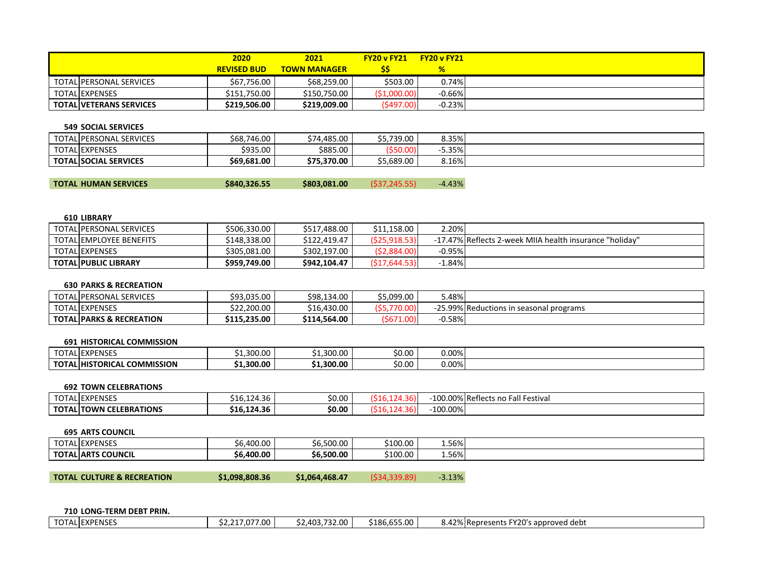|                                | 2020               | 2021                | <b>FY20 v FY21</b> | <b>FY20 v FY21</b> |
|--------------------------------|--------------------|---------------------|--------------------|--------------------|
|                                | <b>REVISED BUD</b> | <b>TOWN MANAGER</b> | \$                 | %                  |
| TOTAL PERSONAL SERVICES        | \$67.756.00        | \$68,259.00         | \$503.00           | 0.74%              |
| <b>TOTALIEXPENSES</b>          | \$151.750.00       | \$150,750.00        | (51,000.00)        | $-0.66%$           |
| <b>TOTAL VETERANS SERVICES</b> | \$219,506.00       | \$219,009.00        | (5497.00)          | $-0.23%$           |

## **549 SOCIAL SERVICES**

| TOTAL PERSONAL SERVICES      | \$68,746.00 | \$74,485.00 | \$5,739.00                   | 8.35% |  |
|------------------------------|-------------|-------------|------------------------------|-------|--|
| <b>TOTAL EXPENSES</b>        | \$935.00    | \$885.00    | $\lambda = \lambda$<br>50.00 | 5.35% |  |
| <b>TOTAL SOCIAL SERVICES</b> | \$69,681.00 | \$75,370.00 | \$5.689.00                   | 8.16% |  |

| \$840,326.55<br>\$803,081.00<br>(537, 245.55)<br><b>TOTAL HUMAN SERVICES</b> | $-4.43%$ |
|------------------------------------------------------------------------------|----------|
|------------------------------------------------------------------------------|----------|

## **610 LIBRARY**

| TOTAL PERSONAL SERVICES     | \$506,330.00 | \$517,488.00 | \$11.158.00  | 2.20%    |                                                         |
|-----------------------------|--------------|--------------|--------------|----------|---------------------------------------------------------|
| TOTALIEMPLOYEE BENEFITS     | \$148,338.00 | \$122,419.47 | (S25.918.53) |          | -17.47% Reflects 2-week MIIA health insurance "holiday" |
| <b>TOTAL EXPENSES</b>       | \$305.081.00 | \$302,197.00 | (S2.884.00)  | $-0.95%$ |                                                         |
| <b>TOTAL PUBLIC LIBRARY</b> | \$959,749.00 | \$942.104.47 | (S17.644.53) | 1.84%    |                                                         |

### **630 PARKS & RECREATION**

| TOTAL PERSONAL SERVICES  | \$93,035.00  | \$98,134.00  | \$5,099.00                | 5.48% |                                         |
|--------------------------|--------------|--------------|---------------------------|-------|-----------------------------------------|
| <b>TOTAL EXPENSES</b>    | \$22.200.00  | \$16,430.00  | הדד אלו<br>(0.00)<br>JJ.I |       | -25.99% Reductions in seasonal programs |
| TOTAL PARKS & RECREATION | \$115,235.00 | \$114,564.00 | (5671.00)                 | 0.58% |                                         |

# **691 HISTORICAL COMMISSION**

| <b>TALIEXPENSES</b><br>$-2$<br><u>، ب</u>                  | 300.00   | \$1.300.00 | \$0.00 | 0.00% |  |
|------------------------------------------------------------|----------|------------|--------|-------|--|
| <b>TOTAL HIST</b><br><b>L COMMISSION</b><br><b>.ORICAL</b> | .,300.00 | .1.300.00  | \$0.00 | 0.00% |  |

## **692 TOWN CELEBRATIONS**

| <b>TOTAL EXPENSES</b><br>$-2-$ | \$16.124.36 | \$0.00 | $\sim$ $\sim$ $\sim$<br>30). | -100.00% Reflects<br>Fall Festiva.<br>s no |
|--------------------------------|-------------|--------|------------------------------|--------------------------------------------|
| <b>TOTAL TOWN CELEBRATIONS</b> | \$16.124.36 | \$0.00 | ~~<br>.36)                   | $-100.00\%$                                |

## **695 ARTS COUNCIL**

| <b>TOTAL EXPENSES</b><br>$T\cap T$ | .400.00<br>◡ | \$6,500.00 | \$100.00 | 1.56% |  |
|------------------------------------|--------------|------------|----------|-------|--|
| <b>TOTAL ARTS COUNCIL</b>          | \$6,400.00   | \$6,500.00 | \$100.00 | 1.56% |  |

| <b>TOTAL CULTURE &amp; RECREATION</b> | \$1,098,808.36 | \$1,064,468.47 | (534, 339.89) | $-3.13%$ |
|---------------------------------------|----------------|----------------|---------------|----------|
|---------------------------------------|----------------|----------------|---------------|----------|

## **710 LONG-TERM DEBT PRIN.**

|  |  | <b>TOTAL EXPENSES</b> | ا 2077.00∠2.∠ | \$2,403,732.00 | \$186,655,00 |  | 8.42% Represents<br>FY20's approved debt |
|--|--|-----------------------|---------------|----------------|--------------|--|------------------------------------------|
|--|--|-----------------------|---------------|----------------|--------------|--|------------------------------------------|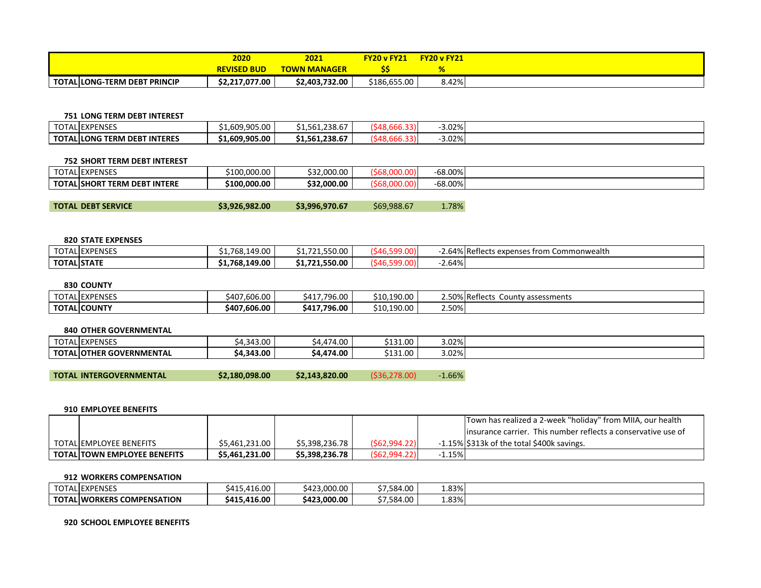|                              | 2020               | 2021                | <b>FY20 v FY21</b> | <b>FY20 v FY21</b> |
|------------------------------|--------------------|---------------------|--------------------|--------------------|
|                              | <b>REVISED BUD</b> | <b>TOWN MANAGER</b> |                    |                    |
| TOTAL LONG-TERM DEBT PRINCIP | \$2,217,077.00     | \$2,403,732.00      | \$186,655.00       | 8.42%              |

#### **751 LONG TERM DEBT INTEREST**

| $-2$<br>TOTAL EXPENSES                           | \$1,609,905.00 | \$1,561,238.67  | C 40<br><b>3,000.3P</b> | 0.22<br>3.UZ%  |  |
|--------------------------------------------------|----------------|-----------------|-------------------------|----------------|--|
| <b>TOTAL LONG TT</b><br><b>TERM DEBT INTERES</b> | \$1,609,905.00 | · 1,561,238.67↓ | 1518<br>5.000.3         | 0.201<br>3.UZ% |  |

### **752 SHORT TERM DEBT INTEREST**

| <b>TOTAL EXPENSES</b>                         | \$100.000.00 | \$32,000.00 | $-68.00%$ |  |
|-----------------------------------------------|--------------|-------------|-----------|--|
| <b>TOTAL SHORT</b><br><b>TERM DEBT INTERE</b> | \$100,000,00 | \$32,000.00 | $-68.00%$ |  |

| <b>TOTAL DEBT SERVICE</b> | \$3,926,982.00 | \$3,996,970.67 | \$69,988.67 | 1.78% |
|---------------------------|----------------|----------------|-------------|-------|
|---------------------------|----------------|----------------|-------------|-------|

# **820 STATE EXPENSES**

| <b>TOTAL EXPENSES</b> | \$1,768,149.00 | \$1,721,550.00 | $\sim$<br>$^{\prime}$ \$46.<br>500<br>$\sim$ . UU i | -2.64% Reflects expenses from Commonwealth |
|-----------------------|----------------|----------------|-----------------------------------------------------|--------------------------------------------|
| <b>TOTAL STATE</b>    | \$1,768,149.00 | \$1,721,550.00 | 500<br>$\sim$<br>10.00<br>'S46.J<br>UUL.            | 2.64%                                      |

#### **830 COUNTY**

| <b>TOTAL EXPENSES</b> | \$407,606.00 | \$417,796.00 | \$10,190.00 | 2.50% Reflects<br>County assessments |
|-----------------------|--------------|--------------|-------------|--------------------------------------|
| <b>TOTAL COUNTY</b>   | \$407,606.00 | \$417,796.00 | \$10,190.00 | 2.50%                                |

### **840 OTHER GOVERNMENTAL**

| <b>TOTAL EXPENSES</b>               | 343.00 +<br>. . | \$4,474.00 | \$131.00 | 3.02%    |  |
|-------------------------------------|-----------------|------------|----------|----------|--|
| <b>TOTAL O</b><br>THER GOVERNMENTAL | \$4,343.00      | \$4,474.00 | \$131.00 | $3.02\%$ |  |

| <b>TOTAL INTERGOVERNMENTAL</b> | \$2,180,098.00 | \$2,143,820.00 | ( \$36, 278.00) | $-1.66\%$ |
|--------------------------------|----------------|----------------|-----------------|-----------|
|--------------------------------|----------------|----------------|-----------------|-----------|

#### **910 EMPLOYEE BENEFITS**

|                                     |                |                |              |          | ITown has realized a 2-week "holiday" from MIIA, our health    |
|-------------------------------------|----------------|----------------|--------------|----------|----------------------------------------------------------------|
|                                     |                |                |              |          | linsurance carrier. This number reflects a conservative use of |
| l TOTALlEMPLOYEE BENEFITS           | \$5,461,231.00 | \$5,398,236,78 | (S62.994.22) |          | -1.15% \$313k of the total \$400k savings.                     |
| <b>TOTAL TOWN EMPLOYEE BENEFITS</b> | \$5,461,231.00 | \$5,398,236.78 | (S62.994.22) | $-1.15%$ |                                                                |

## **912 WORKERS COMPENSATION**

| <b>TOTAL</b> | LIEXPENSES                        | .416.00<br>9д. | \$423,000.00 | \$7.584.00 | 1.83% |  |
|--------------|-----------------------------------|----------------|--------------|------------|-------|--|
|              | <b>TOTAL WORKERS COMPENSATION</b> | \$415,416.00   | \$423.000.00 | \$7.584.00 | 1.83% |  |

## **920 SCHOOL EMPLOYEE BENEFITS**